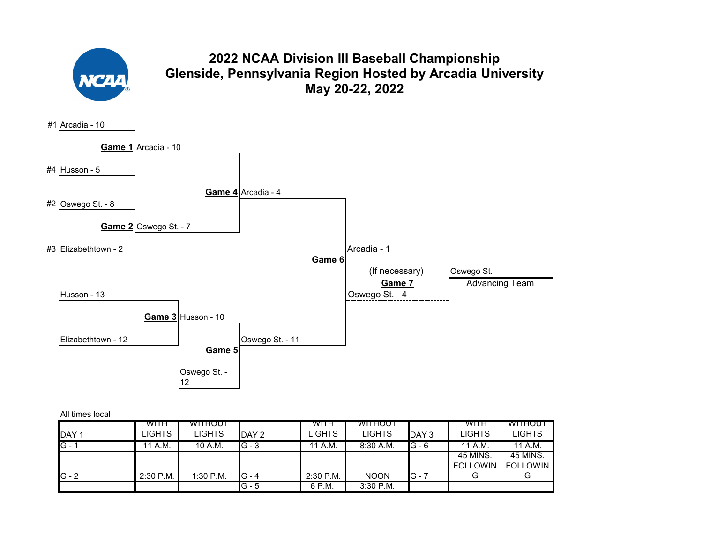

#### **2022 NCAA Division III Baseball Championship Glenside, Pennsylvania Region Hosted by Arcadia University May 20-22, 2022**



| All times local |  |
|-----------------|--|
|-----------------|--|

|                  | <b>WITH</b> | <b>WITHOUT</b> |         | <b>WITH</b>                     | <b>WITHOUT</b> |         | <b>WITH</b>     | WITHOUT         |
|------------------|-------------|----------------|---------|---------------------------------|----------------|---------|-----------------|-----------------|
| DAY <sub>1</sub> | LIGHTS      | <b>LIGHTS</b>  | DAY 2   | <b>LIGHTS</b>                   | <b>LIGHTS</b>  | DAY 3   | LIGHTS          | <b>LIGHTS</b>   |
| $G -$            | 11 A.M.     | 10 A.M.        | $G - 3$ | 11 A. $\overline{\mathsf{M}}$ . | 8:30 A.M.      | $G - 6$ | 11 A.M.         | 11 A.M.         |
|                  |             |                |         |                                 |                |         | 45 MINS.        | 45 MINS.        |
|                  |             |                |         |                                 |                |         | <b>FOLLOWIN</b> | <b>FOLLOWIN</b> |
| $G - 2$          | $2:30$ P.M. | $1:30$ P.M.    | IG - 4  | 2:30 P.M.                       | <b>NOON</b>    | IG - 1  | G               | G               |
|                  |             |                | $G - 5$ | 6 P.M.                          | $3:30$ P.M.    |         |                 |                 |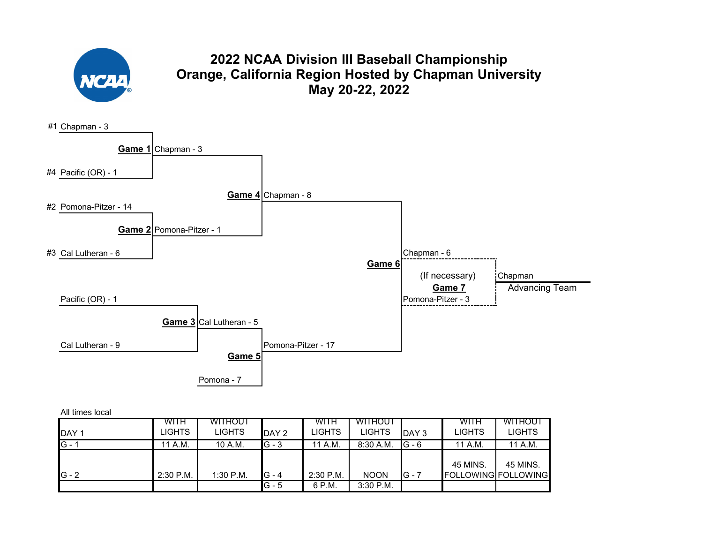

# **2022 NCAA Division III Baseball Championship Orange, California Region Hosted by Chapman University May 20-22, 2022**



| <b>IDAY1</b>           | WIIH<br>LIGHTS. | <b>WITHOUT</b><br><b>LIGHTS</b> | DAY 2             | WITH<br>LIGHTS        | <b>WITHOUT</b><br><b>LIGHTS</b> | DAY <sub>3</sub> | WITH<br>LIGHTS                         | WITHOUT<br>LIGHTS |
|------------------------|-----------------|---------------------------------|-------------------|-----------------------|---------------------------------|------------------|----------------------------------------|-------------------|
| $\mathsf{G}$ - $\cdot$ | A.M.            | 10 A.M.                         | $G - 3$           | 11 A.M.               | 8:30 A.M.                       | $IG - 6$         | 11 A.M.                                | 11 A.M.           |
| $IG - 2$               | $2:30$ P.M.     | 1:30 P.M.                       | IG - 4<br>$G - 5$ | $2:30$ P.M.<br>6 P.M. | <b>NOON</b><br>$3:30$ P.M.      | $IG - 7$         | 45 MINS.<br><b>FOLLOWING FOLLOWING</b> | 45 MINS.          |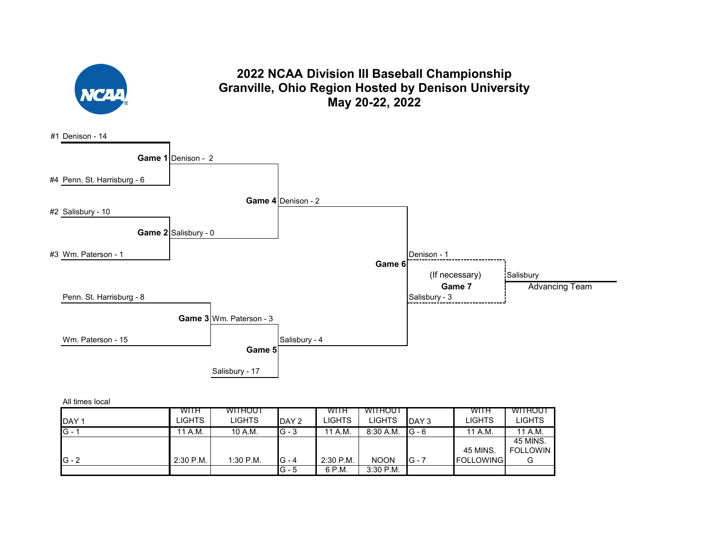

#### **2022 NCAA Division III Baseball Championship Granville, Ohio Region Hosted by Denison University May 20-22, 2022**



|              | WITH      | WITHOUT       |          | <b>WITH</b> | <b>WITHOUT</b> |         | <b>WITH</b>      | WITHOUT         |
|--------------|-----------|---------------|----------|-------------|----------------|---------|------------------|-----------------|
| <b>IDAY1</b> | LIGHTS.   | <b>LIGHTS</b> | DAY 2    | LIGHTS      | <b>LIGHTS</b>  | DAY 3   | LIGHTS           | LIGHTS          |
| $IG - 1$     | 11 A.M.   | 10 A.M.       | $IG - 3$ | 11 A.M.     | 8:30 A.M.      | $G - 6$ | 11 A.M.          | 11 A.M.         |
|              |           |               |          |             |                |         |                  | 45 MINS.        |
|              |           |               |          |             |                |         | 45 MINS.         | <b>FOLLOWIN</b> |
| $G - 2$      | 2:30 P.M. | 1:30 P.M.     | IG - 4   | $2:30$ P.M. | <b>NOON</b>    | $G - 7$ | <b>FOLLOWING</b> |                 |
|              |           |               | $G - 5$  | 6 P.M.      | 3:30 P.M.      |         |                  |                 |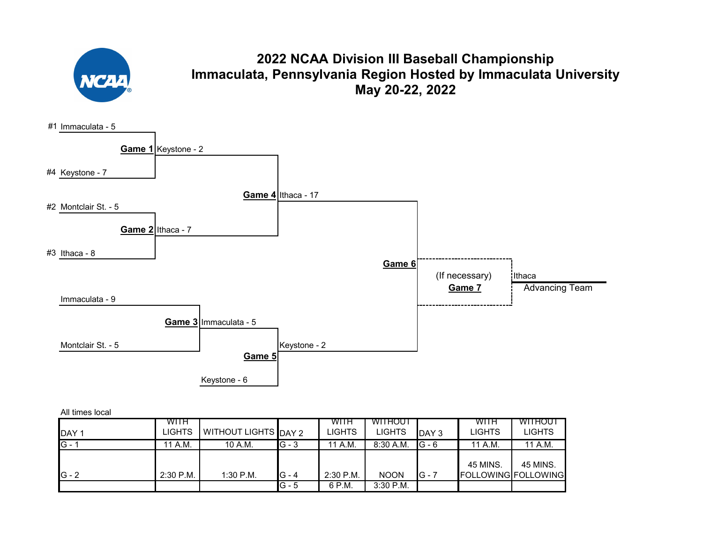

# **2022 NCAA Division III Baseball Championship Immaculata, Pennsylvania Region Hosted by Immaculata University May 20-22, 2022**



|                  | WITH      |                             |         | WITH      | <b>WITHOUT</b> |         | WITH     | WITHOUT             |
|------------------|-----------|-----------------------------|---------|-----------|----------------|---------|----------|---------------------|
| DAY <sub>1</sub> | LIGHTS    | <b>WITHOUT LIGHTS DAY 2</b> |         | LIGHTS    | <b>LIGHTS</b>  | DAY 3   | LIGHTS   | LIGHTS              |
| $G -$            | 11 A.M.   | 10 A.M.                     | $G - 3$ | 11 A.M.   | 8:30 A.M.      | $G - 6$ | 11 A.M.  | 11 A.M.             |
|                  |           |                             |         |           |                |         |          |                     |
|                  |           |                             |         |           |                |         | 45 MINS. | 45 MINS.            |
| $G - 2$          | 2:30 P.M. | $1:30$ P.M.                 | $G - 4$ | 2:30 P.M. | <b>NOON</b>    | G - 7   |          | FOLLOWING FOLLOWING |
|                  |           |                             | IG - 5  | 6 P.M.    | 3:30 P.M.      |         |          |                     |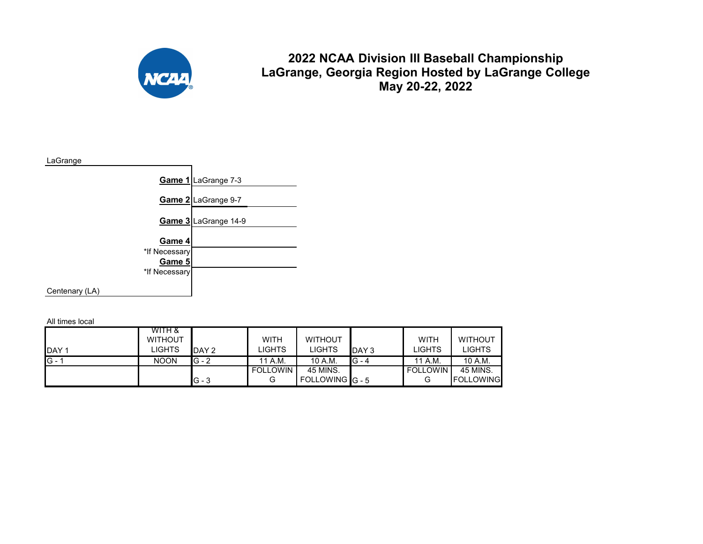

#### **2022 NCAA Division III Baseball Championship LaGrange, Georgia Region Hosted by LaGrange College May 20-22, 2022**

# LaGrange **Game 1** LaGrange 7-3 **Game 2** LaGrange 9-7 **Game 3** LaGrange 14-9 **Game 4** \*If Necessary **Game 5** \*If Necessary Centenary (LA)

| DAY <sub>1</sub> | WITH &<br><b>WITHOUT</b><br>LIGHTS | DAY 2   | <b>WITH</b><br>LIGHTS | <b>WITHOUT</b><br><b>LIGHTS</b> | DAY 3   | <b>WITH</b><br>LIGHTS | <b>WITHOUT</b><br>LIGHTS |
|------------------|------------------------------------|---------|-----------------------|---------------------------------|---------|-----------------------|--------------------------|
| IG -             | <b>NOON</b>                        | $G - 2$ | 11 A.M.               | 10 A.M.                         | $G - 4$ | 11 A.M.               | 10 A.M.                  |
|                  |                                    |         | <b>FOLLOWIN</b>       | 45 MINS.                        |         | <b>FOLLOWIN</b>       | 45 MINS.                 |
|                  |                                    | $G - 3$ | G                     | FOLLOWING $G - 5$               |         | G                     | <b>FOLLOWING</b>         |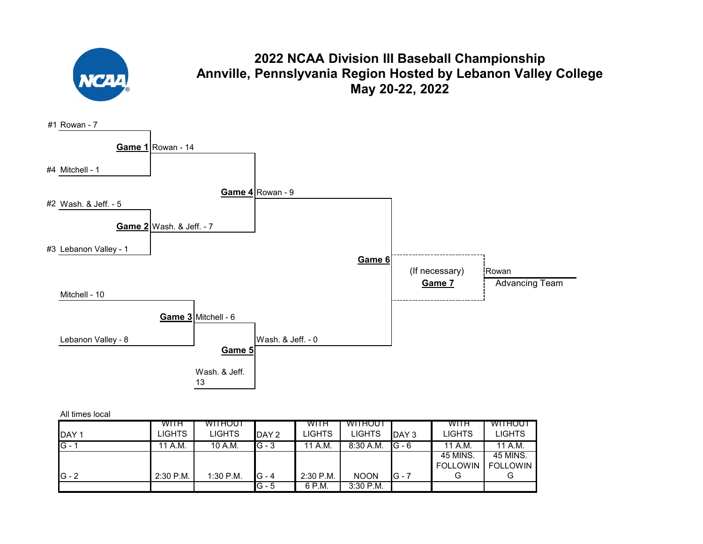

### **2022 NCAA Division III Baseball Championship Annville, Pennslyvania Region Hosted by Lebanon Valley College May 20-22, 2022**



|  | All times local |  |
|--|-----------------|--|
|--|-----------------|--|

|                  | <b>WITH</b>   | WITHOUT       |        | WITH      | <b>WITHOUT</b> |         | WITH            | WITHOUT         |
|------------------|---------------|---------------|--------|-----------|----------------|---------|-----------------|-----------------|
| DAY <sub>1</sub> | <b>LIGHTS</b> | <b>LIGHTS</b> | DAY 2  | LIGHTS    | <b>LIGHTS</b>  | DAY 3   | LIGHTS          | LIGHTS          |
| $G -$            | 11 A.M.       | 10 A.M.       | IG - 3 | 11 A.M.   | 8:30 A.M.      | $G - 6$ | 11 A.M.         | 11 A.M.         |
|                  |               |               |        |           |                |         | 45 MINS.        | 45 MINS.        |
|                  |               |               |        |           |                |         | <b>FOLLOWIN</b> | <b>FOLLOWIN</b> |
| $G - 2$          | $2:30$ P.M.   | $1:30$ P.M.   | IG - 4 | 2:30 P.M. | <b>NOON</b>    | $G - 7$ | G               | G               |
|                  |               |               | G - 5  | 6 P.M.    | $3:30$ P.M.    |         |                 |                 |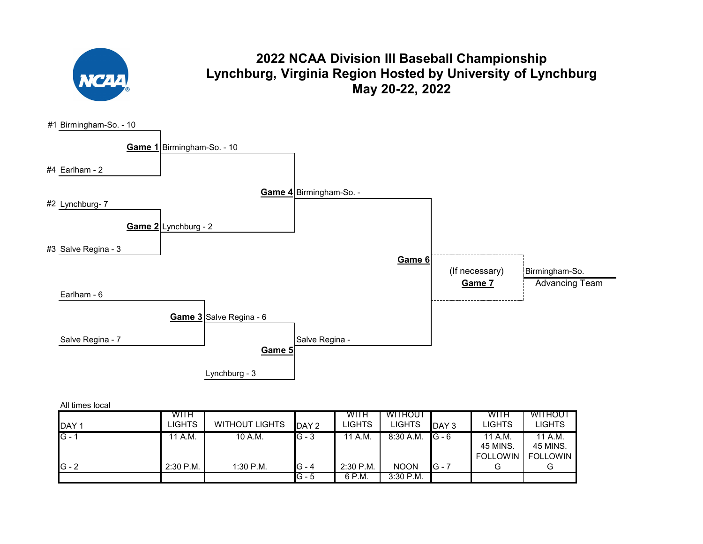

## **2022 NCAA Division III Baseball Championship Lynchburg, Virginia Region Hosted by University of Lynchburg May 20-22, 2022**



|              | <b>WITH</b>   |                       |         | WITH          | <b>WITHOUT</b> |          | WITH            | WITHOUT         |
|--------------|---------------|-----------------------|---------|---------------|----------------|----------|-----------------|-----------------|
| <b>IDAY1</b> | <b>LIGHTS</b> | <b>WITHOUT LIGHTS</b> | DAY 2   | <b>LIGHTS</b> | <b>LIGHTS</b>  | DAY 3    | <b>LIGHTS</b>   | LIGHTS          |
| $G -$        | 11 A.M.       | 10 A.M.               | $G - 3$ | 11 A.M.       | 8:30 A.M.      | $IG - 6$ | 11 A.M.         | 11 A.M.         |
|              |               |                       |         |               |                |          | 45 MINS.        | 45 MINS.        |
|              |               |                       |         |               |                |          | <b>FOLLOWIN</b> | <b>FOLLOWIN</b> |
| $G - 2$      | $2:30$ P.M.   | 1:30 P.M.             | G - 4   | $2:30$ P.M.   | <b>NOON</b>    | IG - 7   | G               |                 |
|              |               |                       | $G - 5$ | 6 P.M.        | $3:30$ P.M.    |          |                 |                 |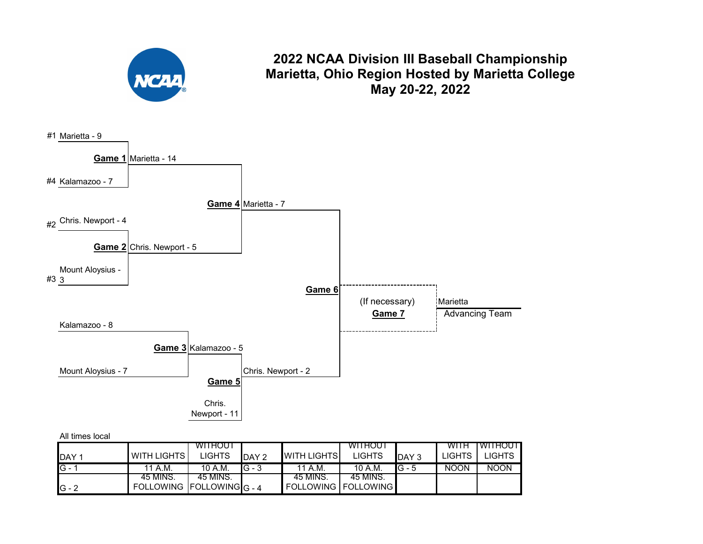

# **2022 NCAA Division III Baseball Championship Marietta, Ohio Region Hosted by Marietta College May 20-22, 2022**



|                                 |                           | <b>WITHOUT</b> |          |                            | <b>WITHOUT</b> |                  | <b>WITH</b>   | TWITHOUT      |
|---------------------------------|---------------------------|----------------|----------|----------------------------|----------------|------------------|---------------|---------------|
| <b>IDAY1</b>                    | I WITH LIGHTS <b>I</b>    | <b>LIGHTS</b>  | IDAY2    | <b>I</b> WITH LIGHTSI      | <b>LIGHTS</b>  | DAY <sub>3</sub> | <b>LIGHTS</b> | <b>LIGHTS</b> |
| $\overline{G}$ - $\overline{C}$ | 11 A.M.                   | 10 A.M.        | $IG - 3$ | 11 A.M.                    | 10 A.M.        | IG - 5           | <b>NOON</b>   | <b>NOON</b>   |
|                                 | 45 MINS.                  | 45 MINS.       |          | -45 MINS.                  | 45 MINS.       |                  |               |               |
| $IG - 2$                        | FOLLOWING FOLLOWING G - 4 |                |          | <b>FOLLOWING FOLLOWING</b> |                |                  |               |               |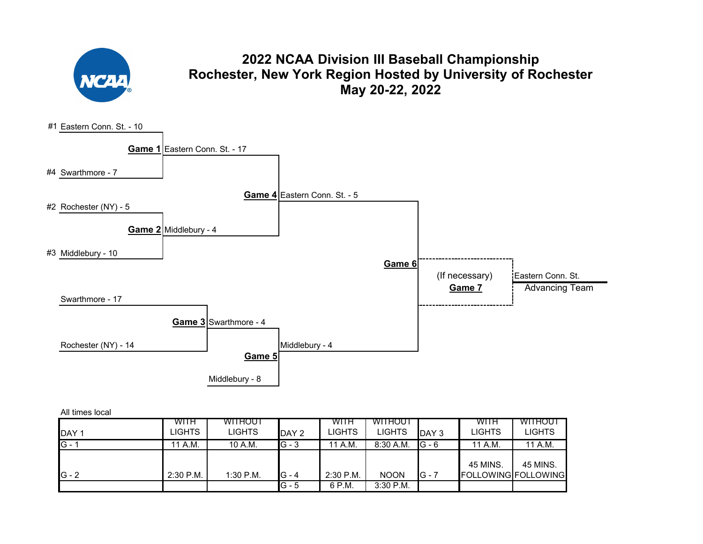

# **2022 NCAA Division III Baseball Championship Rochester, New York Region Hosted by University of Rochester May 20-22, 2022**



| <b>IDAY1</b> | WITH<br>LIGHTS | <b>WITHOUT</b><br><b>LIGHTS</b> | DAY <sub>2</sub> | WITH<br>LIGHTS        | <b>WITHOUT</b><br><b>LIGHTS</b> | DAY 3     | WITH<br>LIGHTS | WITHOUT<br>LIGHTS               |
|--------------|----------------|---------------------------------|------------------|-----------------------|---------------------------------|-----------|----------------|---------------------------------|
| $G - 1$      | 11 A.M.        | 10 A.M.                         | $G - 3$          | 11 A.M.               | $8:30$ A.M.                     | $IG - 6$  | 11 A.M.        | 11 A.M.                         |
| $IG - 2$     | 2:30 P.M.      | $1:30$ P.M.                     | G - 4<br>IG - 5  | $2:30$ P.M.<br>6 P.M. | <b>NOON</b><br>3:30 P.M.        | $ G - 7 $ | 45 MINS.       | 45 MINS.<br>FOLLOWING FOLLOWING |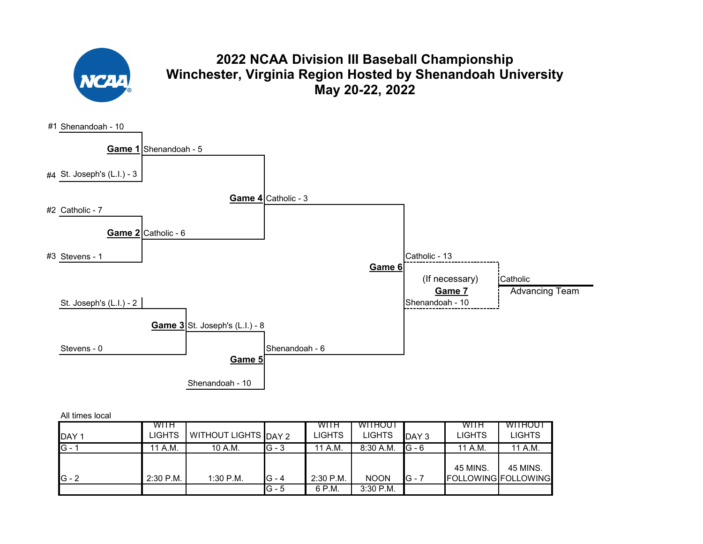

# **2022 NCAA Division III Baseball Championship Winchester, Virginia Region Hosted by Shenandoah University May 20-22, 2022**



| All times local |  |
|-----------------|--|
|                 |  |

|                  | <b>WITH</b>   |                      |         | WITH      | <b>WITHOUT</b> |         | WITH                       | WITHOUT       |
|------------------|---------------|----------------------|---------|-----------|----------------|---------|----------------------------|---------------|
| DAY <sub>1</sub> | <b>LIGHTS</b> | WITHOUT LIGHTS DAY 2 |         | LIGHTS    | <b>LIGHTS</b>  | DAY 3   | LIGHTS                     | <b>LIGHTS</b> |
| $G -$            | 11 A.M.       | 10 A.M.              | IG - 3  | 11 A.M.   | $8:30$ A.M.    | $G - 6$ | 11 A.M.                    | 11 A.M.       |
|                  |               |                      |         |           |                |         |                            |               |
|                  |               |                      |         |           |                |         | 45 MINS.                   | 45 MINS.      |
| $G - 2$          | $2:30$ P.M.   | $1:30$ P.M.          | IG - 4  | 2:30 P.M. | <b>NOON</b>    | G - 7   | <b>FOLLOWING FOLLOWING</b> |               |
|                  |               |                      | $G - 5$ | 6 P.M.    | 3:30 P.M.      |         |                            |               |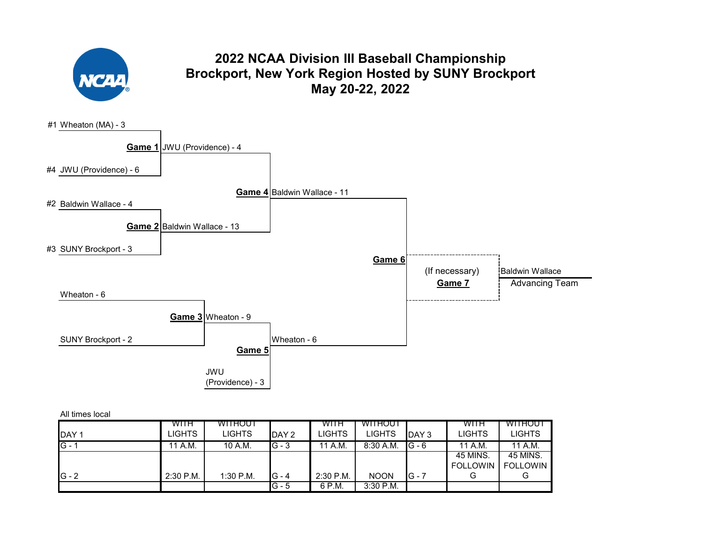

## **2022 NCAA Division III Baseball Championship Brockport, New York Region Hosted by SUNY Brockport May 20-22, 2022**



|  | All times local |  |
|--|-----------------|--|
|--|-----------------|--|

|                  | WITH      | <b>WITHOUT</b> |        | <b>WITH</b>   | <b>WITHOUT</b> |          | WITH            | WITHOUT         |
|------------------|-----------|----------------|--------|---------------|----------------|----------|-----------------|-----------------|
| DAY <sub>1</sub> | LIGHTS    | <b>LIGHTS</b>  | DAY 2  | <b>LIGHTS</b> | <b>LIGHTS</b>  | DAY 3    | LIGHTS          | <b>LIGHTS</b>   |
| $G - 1$          | 11 A.M.   | 10 A.M.        | IG - 3 | 11 A.M.       | $8:30$ A.M.    | $IG - 6$ | 11 A.M.         | 11 A.M.         |
|                  |           |                |        |               |                |          | 45 MINS.        | 45 MINS.        |
|                  |           |                |        |               |                |          | <b>FOLLOWIN</b> | <b>FOLLOWIN</b> |
| $G - 2$          | 2:30 P.M. | 1:30 P.M.      | G - 4  | 2:30 P.M.     | <b>NOON</b>    | IG - 7   | G               | G               |
|                  |           |                | IG - 5 | 6 P.M.        | 3:30 P.M.      |          |                 |                 |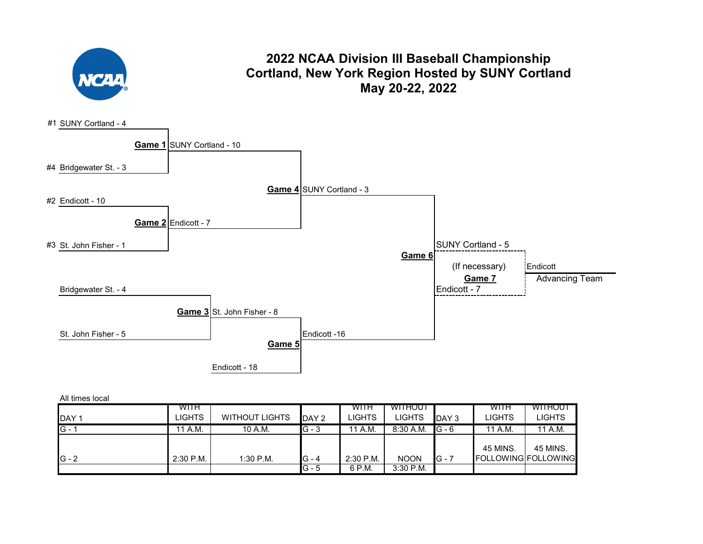

#### **2022 NCAA Division III Baseball Championship Cortland, New York Region Hosted by SUNY Cortland May 20-22, 2022**



|                  | WITH        |                       |         | WITH        | <b>WITHOUT</b> |           | WITH     | WITHOUT             |
|------------------|-------------|-----------------------|---------|-------------|----------------|-----------|----------|---------------------|
| DAY <sub>1</sub> | LIGHTS      | <b>WITHOUT LIGHTS</b> | DAY 2   | LIGHTS.     | <b>LIGHTS</b>  | DAY 3     | LIGHTS   | LIGHTS              |
| $G-$             | 11 A.M.     | 10 A.M.               | $G - 3$ | A.M.        | $8:30$ A.M.    | $G - 6$   | 11 A.M.  | 11 A.M.             |
|                  |             |                       |         |             |                |           |          |                     |
|                  |             |                       |         |             |                |           | 45 MINS. | 45 MINS.            |
| $G - 2$          | $2:30$ P.M. | $1:30$ P.M.           | $G - 4$ | $2:30$ P.M. | <b>NOON</b>    | $ G - 7 $ |          | FOLLOWING FOLLOWING |
|                  |             |                       | $G - 5$ | 6 P.M.      | $3:30$ P.M.    |           |          |                     |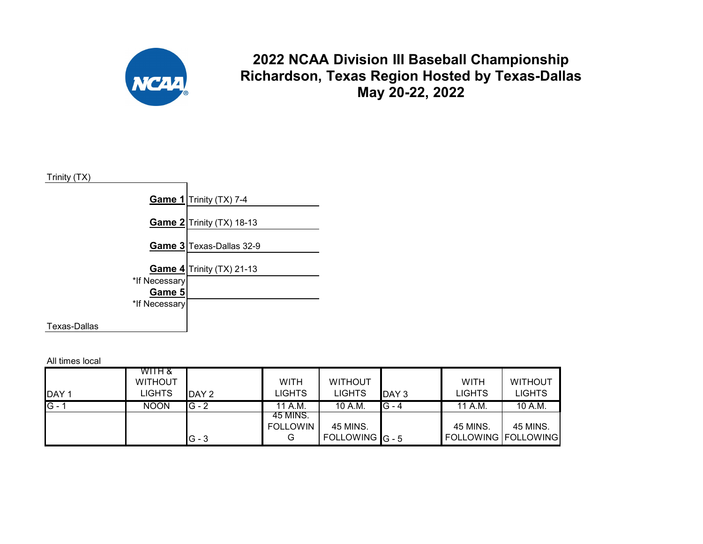

**2022 NCAA Division III Baseball Championship Richardson, Texas Region Hosted by Texas-Dallas May 20-22, 2022**



| DAY <sub>1</sub> | WITH &<br><b>WITHOUT</b><br><b>LIGHTS</b> | DAY 2   | <b>WITH</b><br>LIGHTS             | <b>WITHOUT</b><br><b>LIGHTS</b> | DAY 3   | <b>WITH</b><br><b>LIGHTS</b>           | <b>WITHOUT</b><br><b>LIGHTS</b> |
|------------------|-------------------------------------------|---------|-----------------------------------|---------------------------------|---------|----------------------------------------|---------------------------------|
| $G -$            | <b>NOON</b>                               | $G - 2$ | 11 A.M.                           | 10 A.M.                         | $G - 4$ | 11 A.M.                                | 10 A.M.                         |
|                  |                                           | $G - 3$ | -45 MINS.<br><b>FOLLOWIN</b><br>G | 45 MINS.<br>FOLLOWING $G - 5$   |         | 45 MINS.<br><b>FOLLOWING FOLLOWING</b> | 45 MINS.                        |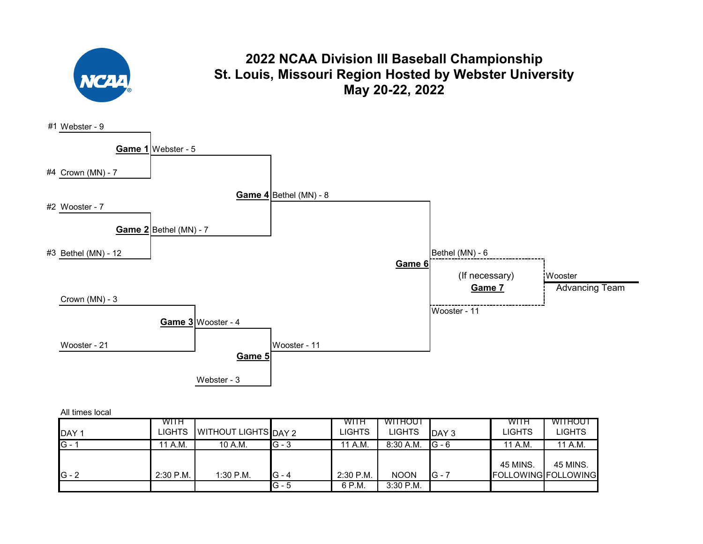

|                  | WITH          |                      |         | WITH          | <b>WITHOUT</b> |          | WITH     | WITHOUT             |
|------------------|---------------|----------------------|---------|---------------|----------------|----------|----------|---------------------|
| DAY <sub>1</sub> | <b>LIGHTS</b> | WITHOUT LIGHTS DAY 2 |         | <b>LIGHTS</b> | LIGHTS         | DAY 3    | LIGHTS   | LIGHTS.             |
| $G -$            | 11 A.M.       | 10 A.M.              | $G - 3$ | 11 A.M.       | $8:30$ A.M.    | $IG - 6$ | 11 A.M.  | 11 A.M.             |
|                  |               |                      |         |               |                |          |          |                     |
|                  |               |                      |         |               |                |          | 45 MINS. | 45 MINS.            |
| $G - 2$          | $2:30$ P.M.   | 1:30 P.M.            | $G - 4$ | 2:30 P.M.     | <b>NOON</b>    | $IG - 7$ |          | FOLLOWING FOLLOWING |
|                  |               |                      | $G - 5$ | 6 P.M.        | $3:30$ P.M.    |          |          |                     |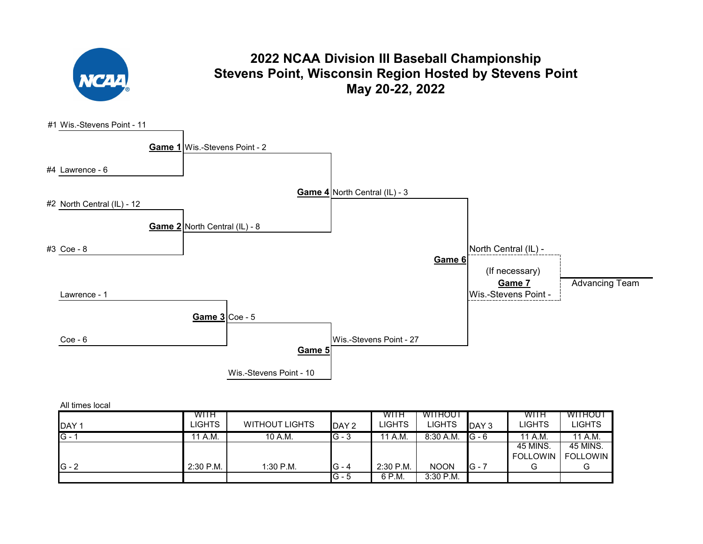

## **2022 NCAA Division III Baseball Championship Stevens Point, Wisconsin Region Hosted by Stevens Point May 20-22, 2022**



| .       |           |                       |         |             |                |          |                 |                 |
|---------|-----------|-----------------------|---------|-------------|----------------|----------|-----------------|-----------------|
|         | WITH      |                       |         | WITH        | <b>WITHOUT</b> |          | WITH            | WITHOUT         |
| DAY '   | LIGHTS    | <b>WITHOUT LIGHTS</b> | DAY 2   | LIGHTS      | LIGHTS         | DAY 3    | LIGHTS          | LIGHTS          |
| $G -$   | 11 A.M.   | 10 A.M.               | $G - 3$ | 11 A.M.     | $8:30$ A.M.    | $IG - 6$ | 11 A.M.         | 11 A.M.         |
|         |           |                       |         |             |                |          | 45 MINS.        | 45 MINS.        |
|         |           |                       |         |             |                |          | <b>FOLLOWIN</b> | <b>FOLLOWIN</b> |
| $G - 2$ | 2:30 P.M. | 1:30 P.M.             | $G - 4$ | $2:30$ P.M. | <b>NOON</b>    | IG - 1   |                 |                 |
|         |           |                       | IG - 5  | 6 P.M.      | 3:30 P.M.      |          |                 |                 |